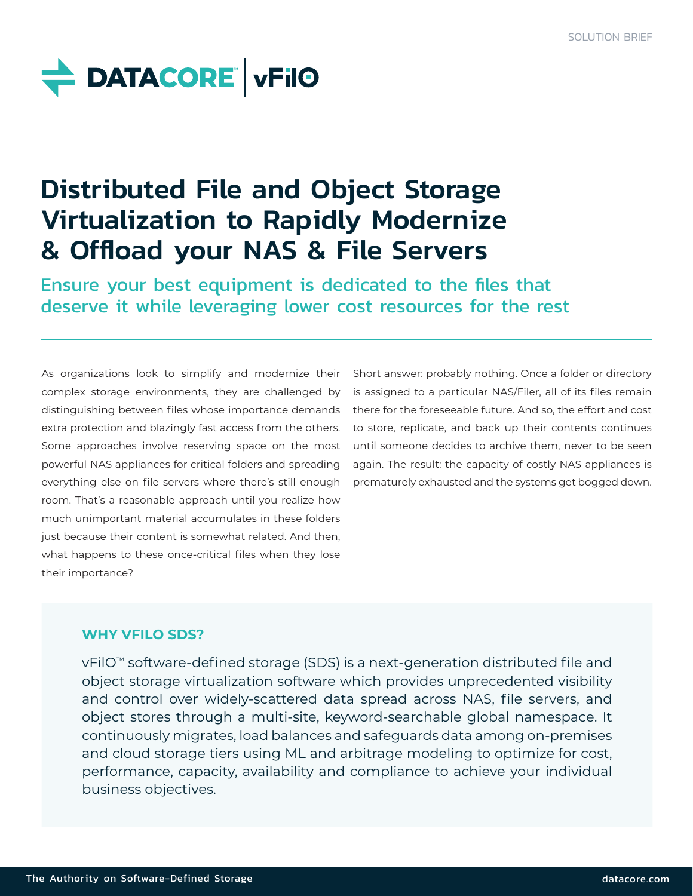

# Distributed File and Object Storage Virtualization to Rapidly Modernize & Offload your NAS & File Servers

Ensure your best equipment is dedicated to the files that deserve it while leveraging lower cost resources for the rest

As organizations look to simplify and modernize their complex storage environments, they are challenged by distinguishing between files whose importance demands extra protection and blazingly fast access from the others. Some approaches involve reserving space on the most powerful NAS appliances for critical folders and spreading everything else on file servers where there's still enough room. That's a reasonable approach until you realize how much unimportant material accumulates in these folders just because their content is somewhat related. And then, what happens to these once-critical files when they lose their importance?

Short answer: probably nothing. Once a folder or directory is assigned to a particular NAS/Filer, all of its files remain there for the foreseeable future. And so, the effort and cost to store, replicate, and back up their contents continues until someone decides to archive them, never to be seen again. The result: the capacity of costly NAS appliances is prematurely exhausted and the systems get bogged down.

## **WHY VFILO SDS?**

vFilO™ software-defined storage (SDS) is a next-generation distributed file and object storage virtualization software which provides unprecedented visibility and control over widely-scattered data spread across NAS, file servers, and object stores through a multi-site, keyword-searchable global namespace. It continuously migrates, load balances and safeguards data among on-premises and cloud storage tiers using ML and arbitrage modeling to optimize for cost, performance, capacity, availability and compliance to achieve your individual business objectives.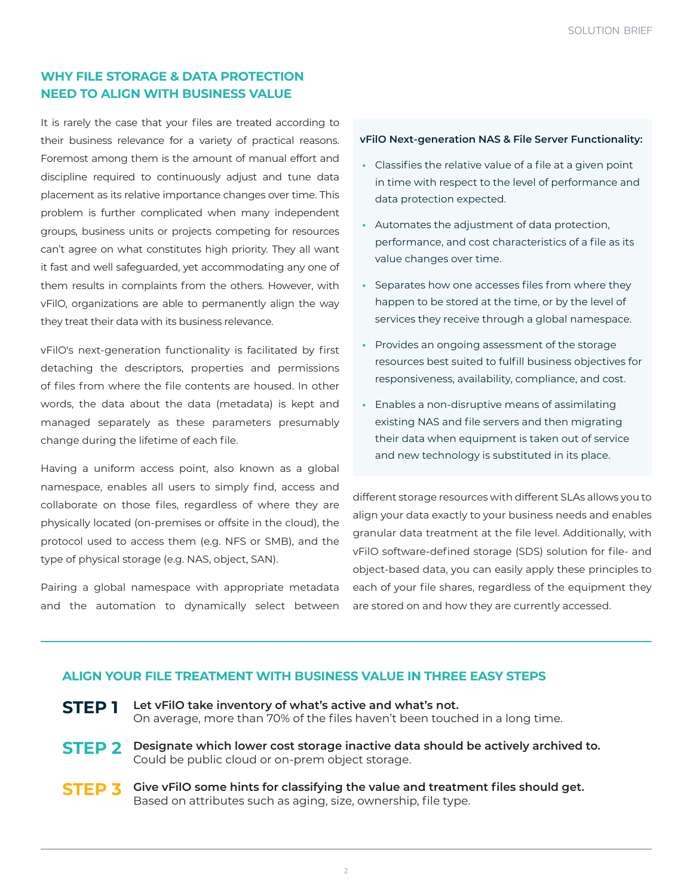## **WHY FILE STORAGE & DATA PROTECTION NEED TO ALIGN WITH BUSINESS VALUE**

It is rarely the case that your files are treated according to their business relevance for a variety of practical reasons. Foremost among them is the amount of manual effort and discipline required to continuously adjust and tune data placement as its relative importance changes over time. This problem is further complicated when many independent groups, business units or projects competing for resources can't agree on what constitutes high priority. They all want it fast and well safeguarded, yet accommodating any one of them results in complaints from the others. However, with vFilO, organizations are able to permanently align the way they treat their data with its business relevance.

vFilO's next-generation functionality is facilitated by first detaching the descriptors, properties and permissions of files from where the file contents are housed. In other words, the data about the data (metadata) is kept and managed separately as these parameters presumably change during the lifetime of each file.

Having a uniform access point, also known as a global namespace, enables all users to simply find, access and collaborate on those files, regardless of where they are physically located (on-premises or offsite in the cloud), the protocol used to access them (e.g. NFS or SMB), and the type of physical storage (e.g. NAS, object, SAN).

Pairing a global namespace with appropriate metadata and the automation to dynamically select between

#### **vFilO Next-generation NAS & File Server Functionality:**

- **•** Classifies the relative value of a file at a given point in time with respect to the level of performance and data protection expected.
- **•** Automates the adjustment of data protection, performance, and cost characteristics of a file as its value changes over time.
- **•** Separates how one accesses files from where they happen to be stored at the time, or by the level of services they receive through a global namespace.
- **•** Provides an ongoing assessment of the storage resources best suited to fulfill business objectives for responsiveness, availability, compliance, and cost.
- **•** Enables a non-disruptive means of assimilating existing NAS and file servers and then migrating their data when equipment is taken out of service and new technology is substituted in its place.

different storage resources with different SLAs allows you to align your data exactly to your business needs and enables granular data treatment at the file level. Additionally, with vFilO software-defined storage (SDS) solution for file- and object-based data, you can easily apply these principles to each of your file shares, regardless of the equipment they are stored on and how they are currently accessed.

#### **ALIGN YOUR FILE TREATMENT WITH BUSINESS VALUE IN THREE EASY STEPS**

**STEP 1 Let vFilO take inventory of what's active and what's not.**  On average, more than 70% of the files haven't been touched in a long time.

- **STEP 2 Designate which lower cost storage inactive data should be actively archived to.**  Could be public cloud or on-prem object storage.
- **STEP 3 Give vFilO some hints for classifying the value and treatment files should get.**  Based on attributes such as aging, size, ownership, file type.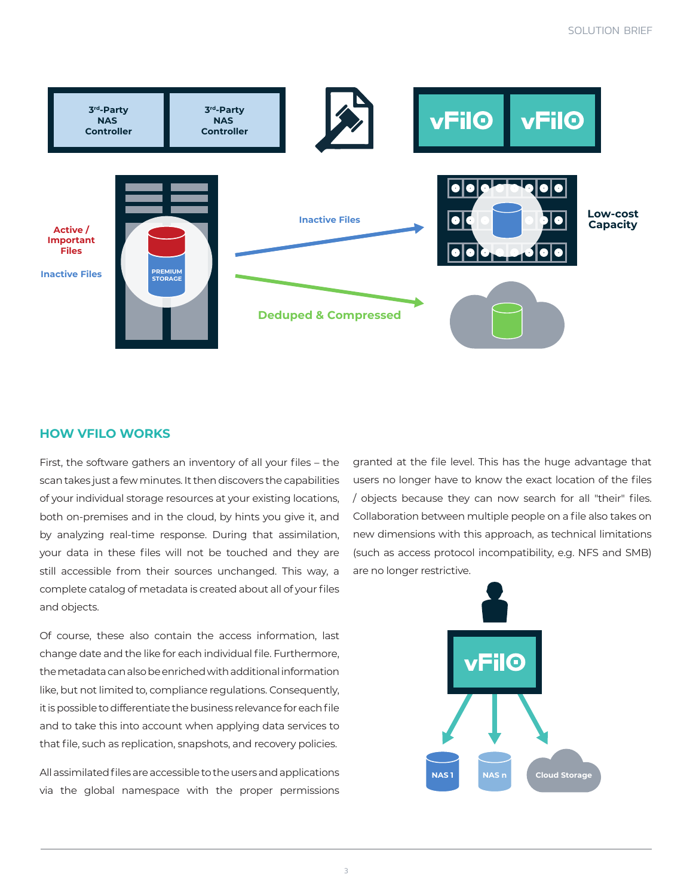

#### **HOW VFILO WORKS**

First, the software gathers an inventory of all your files – the scan takes just a few minutes. It then discovers the capabilities of your individual storage resources at your existing locations, both on-premises and in the cloud, by hints you give it, and by analyzing real-time response. During that assimilation, your data in these files will not be touched and they are still accessible from their sources unchanged. This way, a complete catalog of metadata is created about all of your files and objects.

Of course, these also contain the access information, last change date and the like for each individual file. Furthermore, the metadata can also be enriched with additional information like, but not limited to, compliance regulations. Consequently, it is possible to differentiate the business relevance for each file and to take this into account when applying data services to that file, such as replication, snapshots, and recovery policies.

All assimilated files are accessible to the users and applications via the global namespace with the proper permissions granted at the file level. This has the huge advantage that users no longer have to know the exact location of the files / objects because they can now search for all "their" files. Collaboration between multiple people on a file also takes on new dimensions with this approach, as technical limitations (such as access protocol incompatibility, e.g. NFS and SMB) are no longer restrictive.